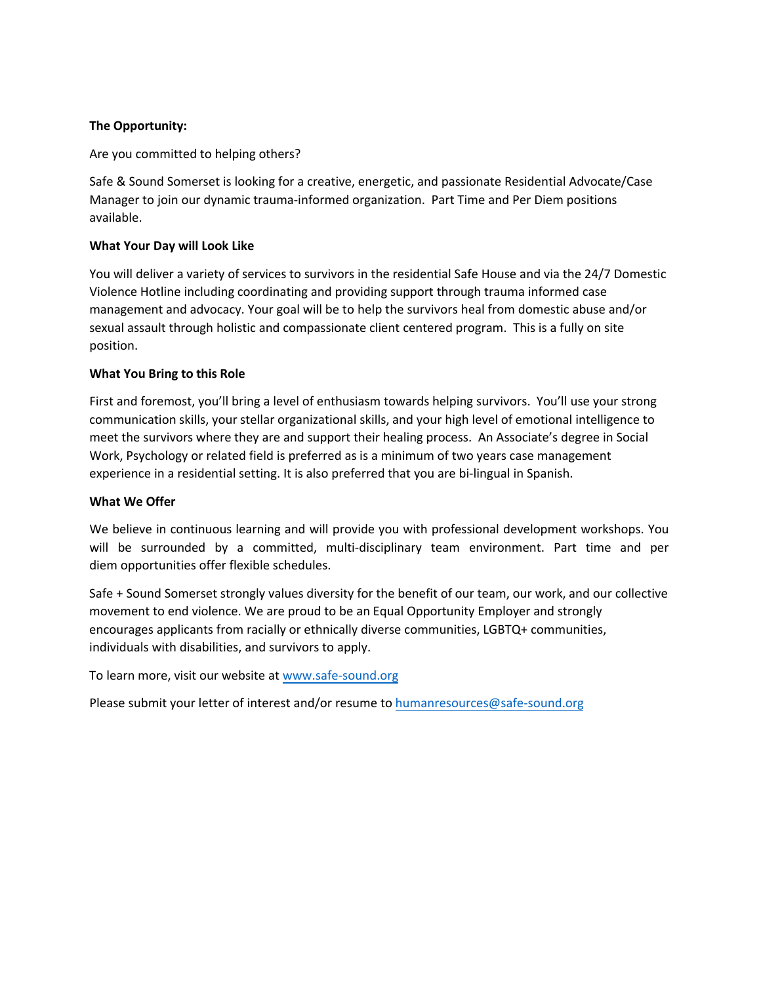#### **The Opportunity:**

Are you committed to helping others?

Safe & Sound Somerset is looking for a creative, energetic, and passionate Residential Advocate/Case Manager to join our dynamic trauma-informed organization. Part Time and Per Diem positions available.

#### **What Your Day will Look Like**

You will deliver a variety of services to survivors in the residential Safe House and via the 24/7 Domestic Violence Hotline including coordinating and providing support through trauma informed case management and advocacy. Your goal will be to help the survivors heal from domestic abuse and/or sexual assault through holistic and compassionate client centered program. This is a fully on site position.

#### **What You Bring to this Role**

First and foremost, you'll bring a level of enthusiasm towards helping survivors. You'll use your strong communication skills, your stellar organizational skills, and your high level of emotional intelligence to meet the survivors where they are and support their healing process. An Associate's degree in Social Work, Psychology or related field is preferred as is a minimum of two years case management experience in a residential setting. It is also preferred that you are bi-lingual in Spanish.

#### **What We Offer**

We believe in continuous learning and will provide you with professional development workshops. You will be surrounded by a committed, multi-disciplinary team environment. Part time and per diem opportunities offer flexible schedules.

Safe + Sound Somerset strongly values diversity for the benefit of our team, our work, and our collective movement to end violence. We are proud to be an Equal Opportunity Employer and strongly encourages applicants from racially or ethnically diverse communities, LGBTQ+ communities, individuals with disabilities, and survivors to apply.

To learn more, visit our website at [www.safe-sound.org](http://www.safe-sound.org/)

Please submit your letter of interest and/or resume to [humanresources@safe-sound.org](mailto:humanresources@safe-sound.org)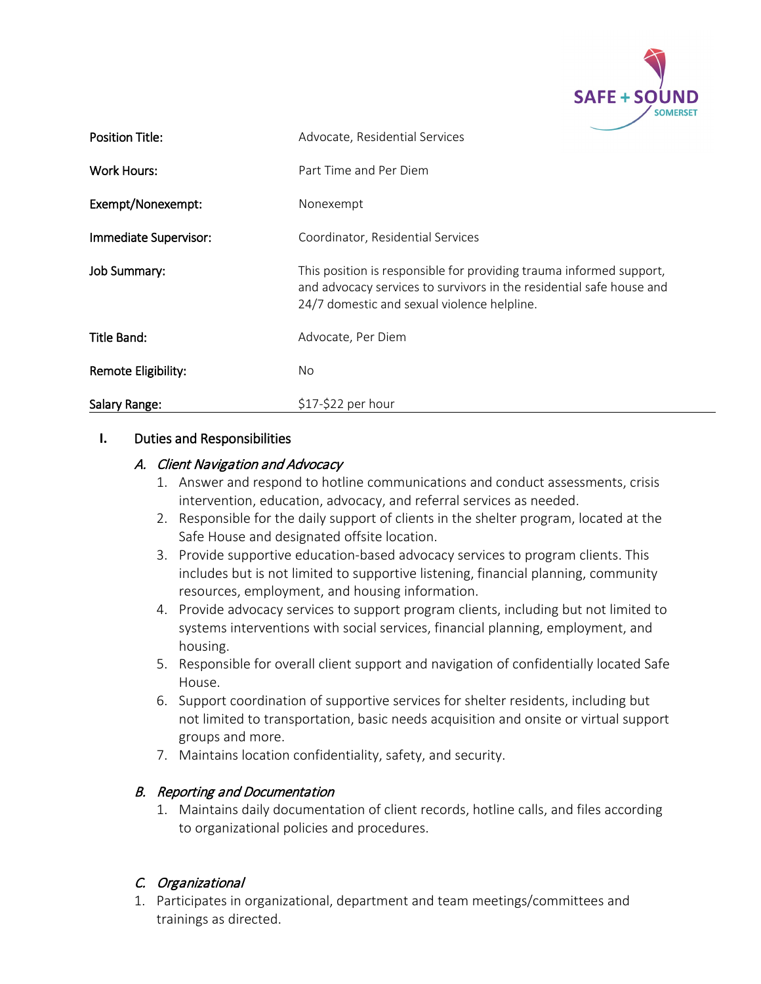

| <b>Position Title:</b> | Advocate, Residential Services                                                                                                                                                             |
|------------------------|--------------------------------------------------------------------------------------------------------------------------------------------------------------------------------------------|
| <b>Work Hours:</b>     | Part Time and Per Diem                                                                                                                                                                     |
| Exempt/Nonexempt:      | Nonexempt                                                                                                                                                                                  |
| Immediate Supervisor:  | Coordinator, Residential Services                                                                                                                                                          |
| Job Summary:           | This position is responsible for providing trauma informed support,<br>and advocacy services to survivors in the residential safe house and<br>24/7 domestic and sexual violence helpline. |
| Title Band:            | Advocate, Per Diem                                                                                                                                                                         |
| Remote Eligibility:    | No.                                                                                                                                                                                        |
| Salary Range:          | $$17-$22$ per hour                                                                                                                                                                         |

### **I.** Duties and Responsibilities

## A. Client Navigation and Advocacy

- 1. Answer and respond to hotline communications and conduct assessments, crisis intervention, education, advocacy, and referral services as needed.
- 2. Responsible for the daily support of clients in the shelter program, located at the Safe House and designated offsite location.
- 3. Provide supportive education-based advocacy services to program clients. This includes but is not limited to supportive listening, financial planning, community resources, employment, and housing information.
- 4. Provide advocacy services to support program clients, including but not limited to systems interventions with social services, financial planning, employment, and housing.
- 5. Responsible for overall client support and navigation of confidentially located Safe House.
- 6. Support coordination of supportive services for shelter residents, including but not limited to transportation, basic needs acquisition and onsite or virtual support groups and more.
- 7. Maintains location confidentiality, safety, and security.

## B. Reporting and Documentation

1. Maintains daily documentation of client records, hotline calls, and files according to organizational policies and procedures.

## C. Organizational

1. Participates in organizational, department and team meetings/committees and trainings as directed.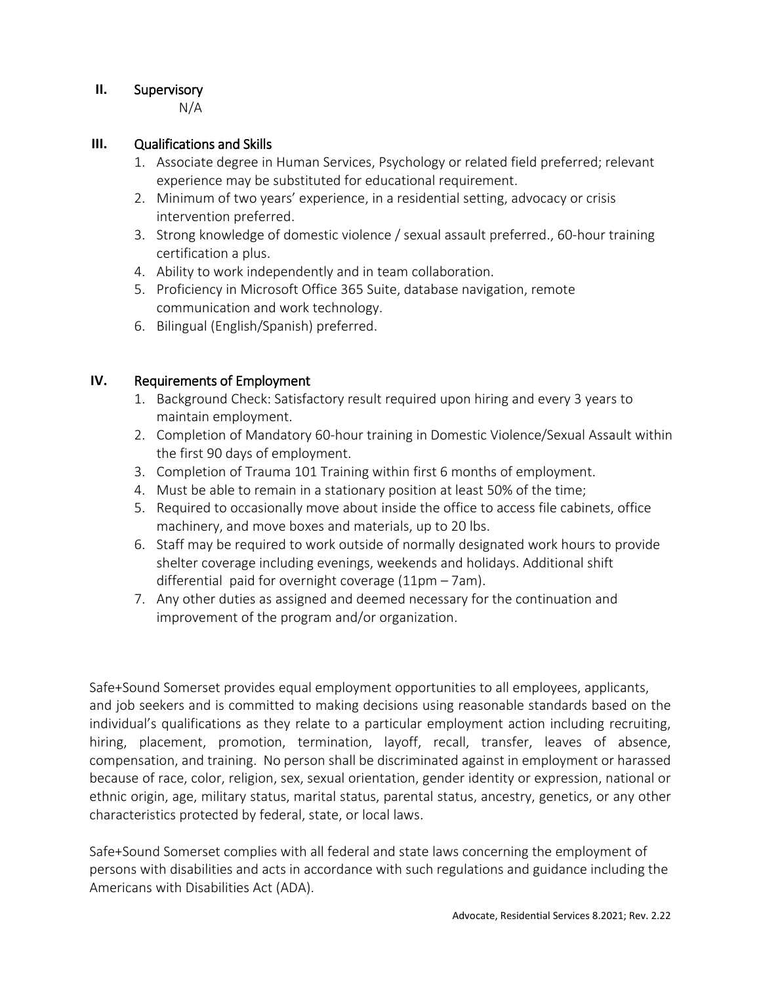# **II.** Supervisory

N/A

# **III.** Qualifications and Skills

- 1. Associate degree in Human Services, Psychology or related field preferred; relevant experience may be substituted for educational requirement.
- 2. Minimum of two years' experience, in a residential setting, advocacy or crisis intervention preferred.
- 3. Strong knowledge of domestic violence / sexual assault preferred., 60-hour training certification a plus.
- 4. Ability to work independently and in team collaboration.
- 5. Proficiency in Microsoft Office 365 Suite, database navigation, remote communication and work technology.
- 6. Bilingual (English/Spanish) preferred.

# **IV.** Requirements of Employment

- 1. Background Check: Satisfactory result required upon hiring and every 3 years to maintain employment.
- 2. Completion of Mandatory 60-hour training in Domestic Violence/Sexual Assault within the first 90 days of employment.
- 3. Completion of Trauma 101 Training within first 6 months of employment.
- 4. Must be able to remain in a stationary position at least 50% of the time;
- 5. Required to occasionally move about inside the office to access file cabinets, office machinery, and move boxes and materials, up to 20 lbs.
- 6. Staff may be required to work outside of normally designated work hours to provide shelter coverage including evenings, weekends and holidays. Additional shift differential paid for overnight coverage (11pm – 7am).
- 7. Any other duties as assigned and deemed necessary for the continuation and improvement of the program and/or organization.

Safe+Sound Somerset provides equal employment opportunities to all employees, applicants, and job seekers and is committed to making decisions using reasonable standards based on the individual's qualifications as they relate to a particular employment action including recruiting, hiring, placement, promotion, termination, layoff, recall, transfer, leaves of absence, compensation, and training. No person shall be discriminated against in employment or harassed because of race, color, religion, sex, sexual orientation, gender identity or expression, national or ethnic origin, age, military status, marital status, parental status, ancestry, genetics, or any other characteristics protected by federal, state, or local laws.

Safe+Sound Somerset complies with all federal and state laws concerning the employment of persons with disabilities and acts in accordance with such regulations and guidance including the Americans with Disabilities Act (ADA).